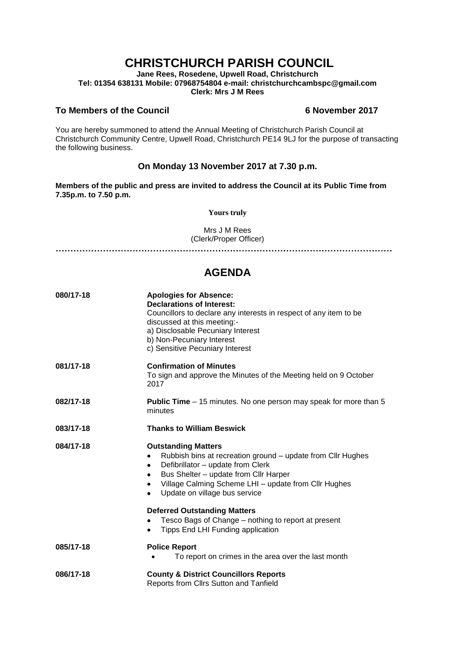# **CHRISTCHURCH PARISH COUNCIL**

**Jane Rees, Rosedene, Upwell Road, Christchurch Tel: 01354 638131 Mobile: 07968754804 e-mail: christchurchcambspc@gmail.com Clerk: Mrs J M Rees**

### **To Members of the Council 6 November 2017**

You are hereby summoned to attend the Annual Meeting of Christchurch Parish Council at Christchurch Community Centre, Upwell Road, Christchurch PE14 9LJ for the purpose of transacting the following business.

## **On Monday 13 November 2017 at 7.30 p.m.**

**Members of the public and press are invited to address the Council at its Public Time from 7.35p.m. to 7.50 p.m.** 

**Yours truly**

Mrs J M Rees (Clerk/Proper Officer)

**……………………………………………………………………………………………………**

## **AGENDA**

| 080/17-18 | <b>Apologies for Absence:</b><br><b>Declarations of Interest:</b><br>Councillors to declare any interests in respect of any item to be<br>discussed at this meeting:-<br>a) Disclosable Pecuniary Interest<br>b) Non-Pecuniary Interest<br>c) Sensitive Pecuniary Interest                        |
|-----------|---------------------------------------------------------------------------------------------------------------------------------------------------------------------------------------------------------------------------------------------------------------------------------------------------|
| 081/17-18 | <b>Confirmation of Minutes</b><br>To sign and approve the Minutes of the Meeting held on 9 October<br>2017                                                                                                                                                                                        |
| 082/17-18 | <b>Public Time</b> – 15 minutes. No one person may speak for more than 5<br>minutes                                                                                                                                                                                                               |
| 083/17-18 | <b>Thanks to William Beswick</b>                                                                                                                                                                                                                                                                  |
| 084/17-18 | <b>Outstanding Matters</b><br>Rubbish bins at recreation ground – update from CIIr Hughes<br>$\bullet$<br>Defibrillator - update from Clerk<br>٠<br>Bus Shelter - update from Cllr Harper<br>٠<br>Village Calming Scheme LHI - update from ClIr Hughes<br>٠<br>Update on village bus service<br>٠ |
|           | <b>Deferred Outstanding Matters</b><br>Tesco Bags of Change - nothing to report at present<br>٠<br>Tipps End LHI Funding application                                                                                                                                                              |
| 085/17-18 | <b>Police Report</b><br>To report on crimes in the area over the last month                                                                                                                                                                                                                       |
| 086/17-18 | <b>County &amp; District Councillors Reports</b><br>Reports from Cllrs Sutton and Tanfield                                                                                                                                                                                                        |